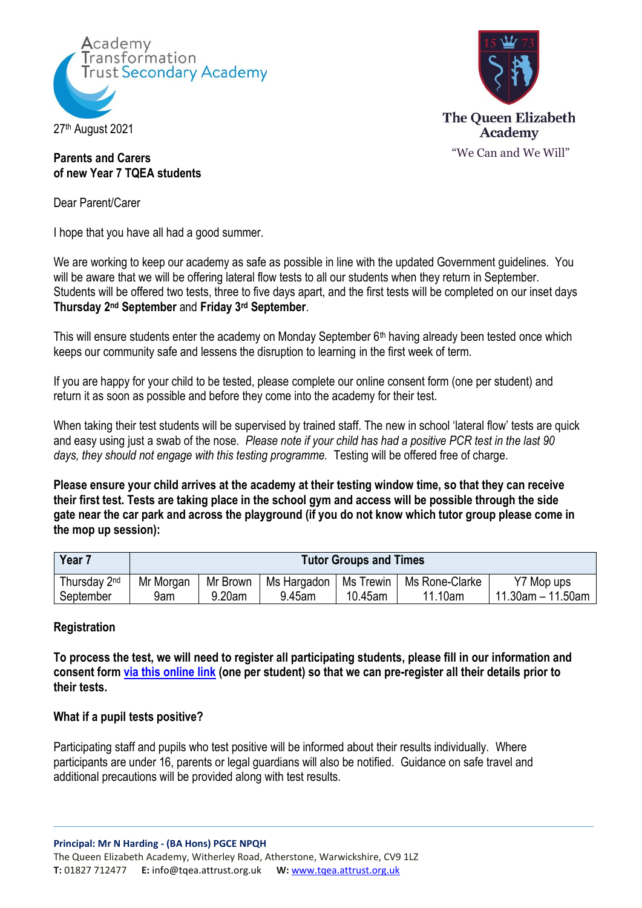



# **Parents and Carers of new Year 7 TQEA students**

Dear Parent/Carer

I hope that you have all had a good summer.

We are working to keep our academy as safe as possible in line with the updated Government guidelines. You will be aware that we will be offering lateral flow tests to all our students when they return in September. Students will be offered two tests, three to five days apart, and the first tests will be completed on our inset days **Thursday 2nd September** and **Friday 3rd September**.

This will ensure students enter the academy on Monday September 6<sup>th</sup> having already been tested once which keeps our community safe and lessens the disruption to learning in the first week of term.

If you are happy for your child to be tested, please complete our online consent form (one per student) and return it as soon as possible and before they come into the academy for their test.

When taking their test students will be supervised by trained staff. The new in school 'lateral flow' tests are quick and easy using just a swab of the nose. *Please note if your child has had a positive PCR test in the last 90*  days, they should not engage with this testing programme. Testing will be offered free of charge.

**Please ensure your child arrives at the academy at their testing window time, so that they can receive their first test. Tests are taking place in the school gym and access will be possible through the side gate near the car park and across the playground (if you do not know which tutor group please come in the mop up session):**

| Year 7       | <b>Tutor Groups and Times</b> |          |             |           |                |                      |
|--------------|-------------------------------|----------|-------------|-----------|----------------|----------------------|
| Thursday 2nd | Mr Morgan                     | Mr Brown | Ms Hargadon | Ms Trewin | Ms Rone-Clarke | Y7 Mop ups           |
| September    | 9am                           | 9.20am   | 9.45am      | 10.45am   | 11.10am        | $11.30$ am - 11.50am |

#### **Registration**

**To process the test, we will need to register all participating students, please fill in our information and consent form [via this online link](https://docs.google.com/forms/d/e/1FAIpQLSeQ1EUsABBMflV1kB-THiruY2v8JvxGewoR0AWP7TMsVYq4yA/viewform?vc=0&c=0&w=1&flr=0) (one per student) so that we can pre-register all their details prior to their tests.**

#### **What if a pupil tests positive?**

Participating staff and pupils who test positive will be informed about their results individually. Where participants are under 16, parents or legal guardians will also be notified. Guidance on safe travel and additional precautions will be provided along with test results.